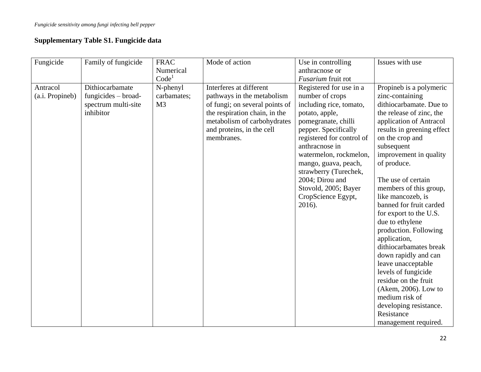## **Supplementary Table S1. Fungicide data**

| Fungicide                   | Family of fungicide                                                          | <b>FRAC</b><br>Numerical<br>Code <sup>1</sup> | Mode of action                                                                                                                                                                                     | Use in controlling<br>anthracnose or<br><i>Fusarium</i> fruit rot                                                                                                                                                                                                                                                                           | Issues with use                                                                                                                                                                                                                                                                                                                                                                                                                                                                                                                                                                                                                                             |
|-----------------------------|------------------------------------------------------------------------------|-----------------------------------------------|----------------------------------------------------------------------------------------------------------------------------------------------------------------------------------------------------|---------------------------------------------------------------------------------------------------------------------------------------------------------------------------------------------------------------------------------------------------------------------------------------------------------------------------------------------|-------------------------------------------------------------------------------------------------------------------------------------------------------------------------------------------------------------------------------------------------------------------------------------------------------------------------------------------------------------------------------------------------------------------------------------------------------------------------------------------------------------------------------------------------------------------------------------------------------------------------------------------------------------|
| Antracol<br>(a.i. Propineb) | Dithiocarbamate<br>$fungicides - broad-$<br>spectrum multi-site<br>inhibitor | N-phenyl<br>carbamates;<br>M <sub>3</sub>     | Interferes at different<br>pathways in the metabolism<br>of fungi; on several points of<br>the respiration chain, in the<br>metabolism of carbohydrates<br>and proteins, in the cell<br>membranes. | Registered for use in a<br>number of crops<br>including rice, tomato,<br>potato, apple,<br>pomegranate, chilli<br>pepper. Specifically<br>registered for control of<br>anthracnose in<br>watermelon, rockmelon,<br>mango, guava, peach,<br>strawberry (Turechek,<br>2004; Dirou and<br>Stovold, 2005; Bayer<br>CropScience Egypt,<br>2016). | Propineb is a polymeric<br>zinc-containing<br>dithiocarbamate. Due to<br>the release of zinc, the<br>application of Antracol<br>results in greening effect<br>on the crop and<br>subsequent<br>improvement in quality<br>of produce.<br>The use of certain<br>members of this group,<br>like mancozeb, is<br>banned for fruit carded<br>for export to the U.S.<br>due to ethylene<br>production. Following<br>application,<br>dithiocarbamates break<br>down rapidly and can<br>leave unacceptable<br>levels of fungicide<br>residue on the fruit<br>(Akem, 2006). Low to<br>medium risk of<br>developing resistance.<br>Resistance<br>management required. |